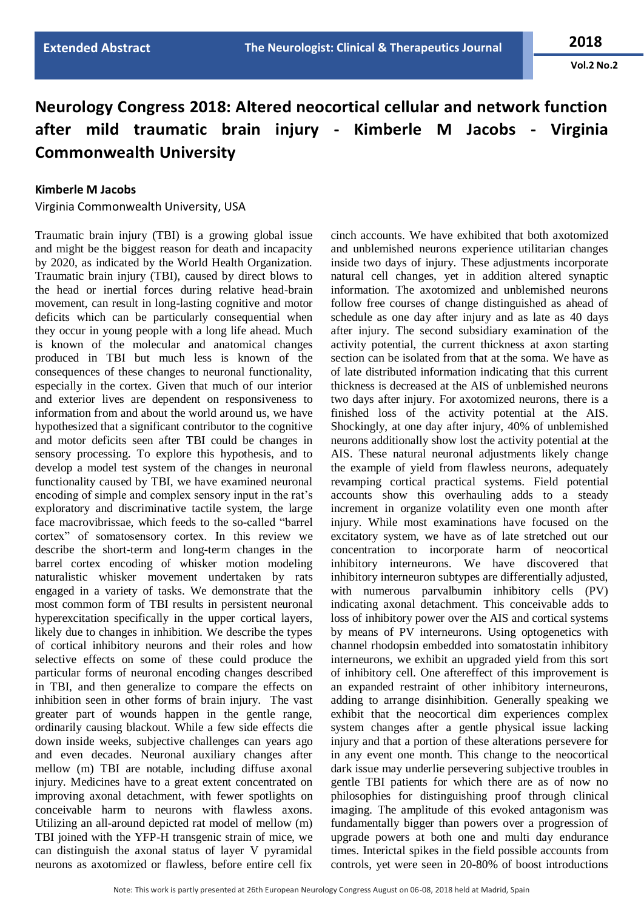**Vol.2 No.2**

## **Neurology Congress 2018: Altered neocortical cellular and network function after mild traumatic brain injury - Kimberle M Jacobs - Virginia Commonwealth University**

## **Kimberle M Jacobs**

Virginia Commonwealth University, USA

Traumatic brain injury (TBI) is a growing global issue and might be the biggest reason for death and incapacity by 2020, as indicated by the World Health Organization. Traumatic brain injury (TBI), caused by direct blows to the head or inertial forces during relative head-brain movement, can result in long-lasting cognitive and motor deficits which can be particularly consequential when they occur in young people with a long life ahead. Much is known of the molecular and anatomical changes produced in TBI but much less is known of the consequences of these changes to neuronal functionality, especially in the cortex. Given that much of our interior and exterior lives are dependent on responsiveness to information from and about the world around us, we have hypothesized that a significant contributor to the cognitive and motor deficits seen after TBI could be changes in sensory processing. To explore this hypothesis, and to develop a model test system of the changes in neuronal functionality caused by TBI, we have examined neuronal encoding of simple and complex sensory input in the rat's exploratory and discriminative tactile system, the large face macrovibrissae, which feeds to the so-called "barrel cortex" of somatosensory cortex. In this review we describe the short-term and long-term changes in the barrel cortex encoding of whisker motion modeling naturalistic whisker movement undertaken by rats engaged in a variety of tasks. We demonstrate that the most common form of TBI results in persistent neuronal hyperexcitation specifically in the upper cortical layers, likely due to changes in inhibition. We describe the types of cortical inhibitory neurons and their roles and how selective effects on some of these could produce the particular forms of neuronal encoding changes described in TBI, and then generalize to compare the effects on inhibition seen in other forms of brain injury. The vast greater part of wounds happen in the gentle range, ordinarily causing blackout. While a few side effects die down inside weeks, subjective challenges can years ago and even decades. Neuronal auxiliary changes after mellow (m) TBI are notable, including diffuse axonal injury. Medicines have to a great extent concentrated on improving axonal detachment, with fewer spotlights on conceivable harm to neurons with flawless axons. Utilizing an all-around depicted rat model of mellow (m) TBI joined with the YFP-H transgenic strain of mice, we can distinguish the axonal status of layer V pyramidal neurons as axotomized or flawless, before entire cell fix

cinch accounts. We have exhibited that both axotomized and unblemished neurons experience utilitarian changes inside two days of injury. These adjustments incorporate natural cell changes, yet in addition altered synaptic information. The axotomized and unblemished neurons follow free courses of change distinguished as ahead of schedule as one day after injury and as late as 40 days after injury. The second subsidiary examination of the activity potential, the current thickness at axon starting section can be isolated from that at the soma. We have as of late distributed information indicating that this current thickness is decreased at the AIS of unblemished neurons two days after injury. For axotomized neurons, there is a finished loss of the activity potential at the AIS. Shockingly, at one day after injury, 40% of unblemished neurons additionally show lost the activity potential at the AIS. These natural neuronal adjustments likely change the example of yield from flawless neurons, adequately revamping cortical practical systems. Field potential accounts show this overhauling adds to a steady increment in organize volatility even one month after injury. While most examinations have focused on the excitatory system, we have as of late stretched out our concentration to incorporate harm of neocortical inhibitory interneurons. We have discovered that inhibitory interneuron subtypes are differentially adjusted, with numerous parvalbumin inhibitory cells (PV) indicating axonal detachment. This conceivable adds to loss of inhibitory power over the AIS and cortical systems by means of PV interneurons. Using optogenetics with channel rhodopsin embedded into somatostatin inhibitory interneurons, we exhibit an upgraded yield from this sort of inhibitory cell. One aftereffect of this improvement is an expanded restraint of other inhibitory interneurons, adding to arrange disinhibition. Generally speaking we exhibit that the neocortical dim experiences complex system changes after a gentle physical issue lacking injury and that a portion of these alterations persevere for in any event one month. This change to the neocortical dark issue may underlie persevering subjective troubles in gentle TBI patients for which there are as of now no philosophies for distinguishing proof through clinical imaging. The amplitude of this evoked antagonism was fundamentally bigger than powers over a progression of upgrade powers at both one and multi day endurance times. Interictal spikes in the field possible accounts from controls, yet were seen in 20-80% of boost introductions